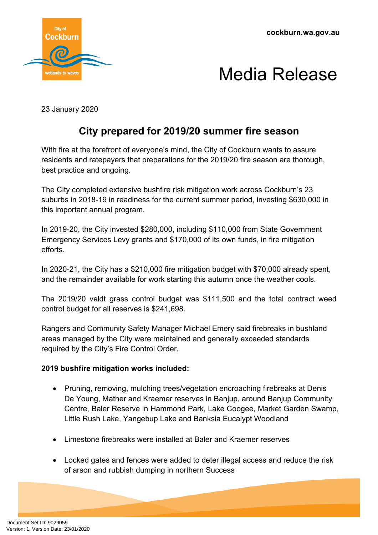

## Media Release

23 January 2020

## **City prepared for 2019/20 summer fire season**

With fire at the forefront of everyone's mind, the City of Cockburn wants to assure residents and ratepayers that preparations for the 2019/20 fire season are thorough, best practice and ongoing.

The City completed extensive bushfire risk mitigation work across Cockburn's 23 suburbs in 2018-19 in readiness for the current summer period, investing \$630,000 in this important annual program.

In 2019-20, the City invested \$280,000, including \$110,000 from State Government Emergency Services Levy grants and \$170,000 of its own funds, in fire mitigation efforts.

In 2020-21, the City has a \$210,000 fire mitigation budget with \$70,000 already spent, and the remainder available for work starting this autumn once the weather cools.

The 2019/20 veldt grass control budget was \$111,500 and the total contract weed control budget for all reserves is \$241,698.

Rangers and Community Safety Manager Michael Emery said firebreaks in bushland areas managed by the City were maintained and generally exceeded standards required by the City's Fire Control Order.

## **2019 bushfire mitigation works included:**

- Pruning, removing, mulching trees/vegetation encroaching firebreaks at Denis De Young, Mather and Kraemer reserves in Banjup, around Banjup Community Centre, Baler Reserve in Hammond Park, Lake Coogee, Market Garden Swamp, Little Rush Lake, Yangebup Lake and Banksia Eucalypt Woodland
- Limestone firebreaks were installed at Baler and Kraemer reserves
- Locked gates and fences were added to deter illegal access and reduce the risk of arson and rubbish dumping in northern Success